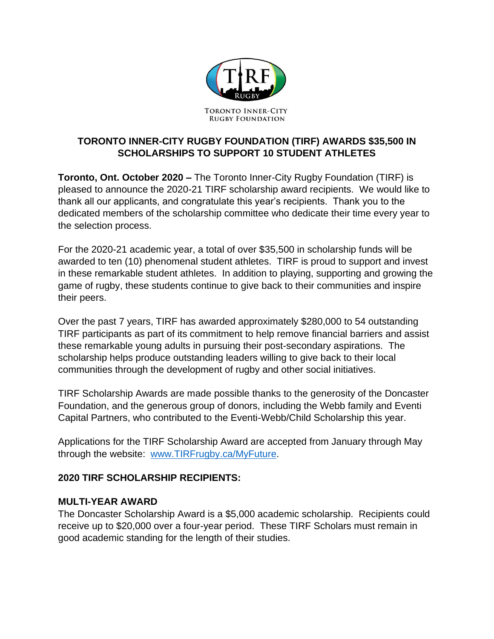

# **TORONTO INNER-CITY RUGBY FOUNDATION (TIRF) AWARDS \$35,500 IN SCHOLARSHIPS TO SUPPORT 10 STUDENT ATHLETES**

**Toronto, Ont. October 2020 –** The Toronto Inner-City Rugby Foundation (TIRF) is pleased to announce the 2020-21 TIRF scholarship award recipients. We would like to thank all our applicants, and congratulate this year's recipients. Thank you to the dedicated members of the scholarship committee who dedicate their time every year to the selection process.

For the 2020-21 academic year, a total of over \$35,500 in scholarship funds will be awarded to ten (10) phenomenal student athletes. TIRF is proud to support and invest in these remarkable student athletes. In addition to playing, supporting and growing the game of rugby, these students continue to give back to their communities and inspire their peers.

Over the past 7 years, TIRF has awarded approximately \$280,000 to 54 outstanding TIRF participants as part of its commitment to help remove financial barriers and assist these remarkable young adults in pursuing their post-secondary aspirations. The scholarship helps produce outstanding leaders willing to give back to their local communities through the development of rugby and other social initiatives.

TIRF Scholarship Awards are made possible thanks to the generosity of the Doncaster Foundation, and the generous group of donors, including the Webb family and Eventi Capital Partners, who contributed to the Eventi-Webb/Child Scholarship this year.

Applications for the TIRF Scholarship Award are accepted from January through May through the website: [www.TIRFrugby.ca/MyFuture.](http://www.tirfrugby.ca/MyFuture)

### **2020 TIRF SCHOLARSHIP RECIPIENTS:**

### **MULTI-YEAR AWARD**

The Doncaster Scholarship Award is a \$5,000 academic scholarship. Recipients could receive up to \$20,000 over a four-year period. These TIRF Scholars must remain in good academic standing for the length of their studies.